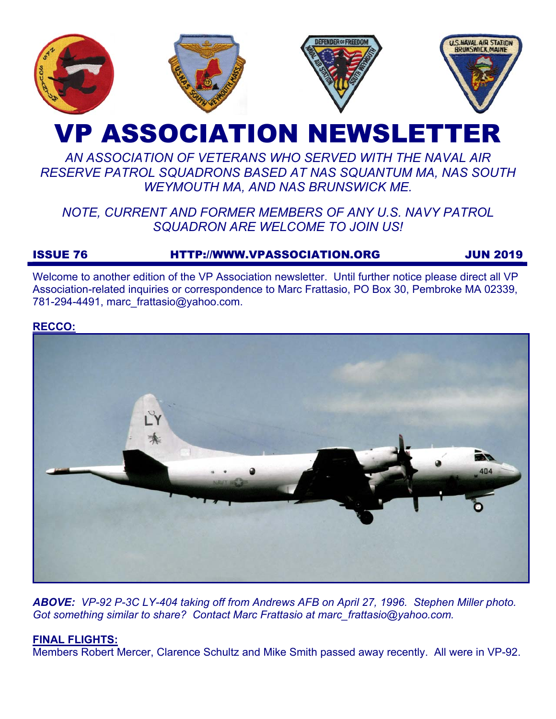

# VP ASSOCIATION NEWSLETTER

# *AN ASSOCIATION OF VETERANS WHO SERVED WITH THE NAVAL AIR RESERVE PATROL SQUADRONS BASED AT NAS SQUANTUM MA, NAS SOUTH WEYMOUTH MA, AND NAS BRUNSWICK ME.*

# *NOTE, CURRENT AND FORMER MEMBERS OF ANY U.S. NAVY PATROL SQUADRON ARE WELCOME TO JOIN US!*

## ISSUE 76 HTTP://WWW.VPASSOCIATION.ORG JUN 2019

Welcome to another edition of the VP Association newsletter. Until further notice please direct all VP Association-related inquiries or correspondence to Marc Frattasio, PO Box 30, Pembroke MA 02339, 781-294-4491, marc\_frattasio@yahoo.com.

#### **RECCO:**



*ABOVE: VP-92 P-3C LY-404 taking off from Andrews AFB on April 27, 1996. Stephen Miller photo. Got something similar to share? Contact Marc Frattasio at marc\_frattasio@yahoo.com.* 

#### **FINAL FLIGHTS:**

Members Robert Mercer, Clarence Schultz and Mike Smith passed away recently. All were in VP-92.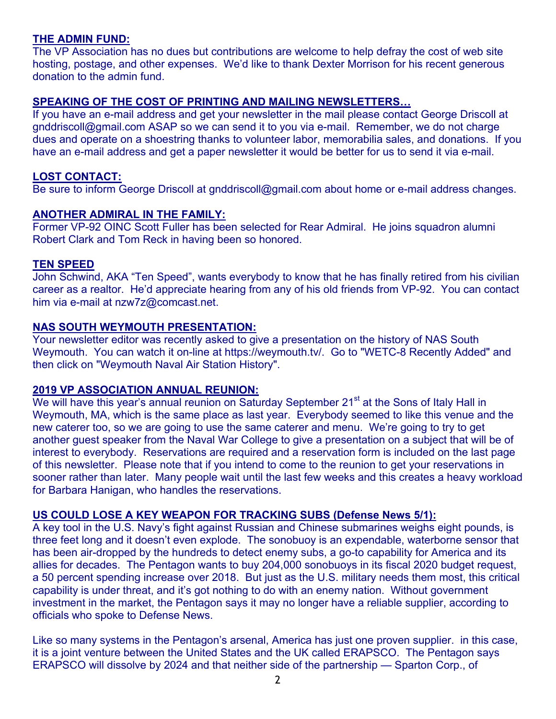#### **THE ADMIN FUND:**

The VP Association has no dues but contributions are welcome to help defray the cost of web site hosting, postage, and other expenses. We'd like to thank Dexter Morrison for his recent generous donation to the admin fund.

#### **SPEAKING OF THE COST OF PRINTING AND MAILING NEWSLETTERS…**

If you have an e-mail address and get your newsletter in the mail please contact George Driscoll at gnddriscoll@gmail.com ASAP so we can send it to you via e-mail. Remember, we do not charge dues and operate on a shoestring thanks to volunteer labor, memorabilia sales, and donations. If you have an e-mail address and get a paper newsletter it would be better for us to send it via e-mail.

#### **LOST CONTACT:**

Be sure to inform George Driscoll at gnddriscoll@gmail.com about home or e-mail address changes.

#### **ANOTHER ADMIRAL IN THE FAMILY:**

Former VP-92 OINC Scott Fuller has been selected for Rear Admiral. He joins squadron alumni Robert Clark and Tom Reck in having been so honored.

#### **TEN SPEED**

John Schwind, AKA "Ten Speed", wants everybody to know that he has finally retired from his civilian career as a realtor. He'd appreciate hearing from any of his old friends from VP-92. You can contact him via e-mail at nzw7z@comcast.net.

#### **NAS SOUTH WEYMOUTH PRESENTATION:**

Your newsletter editor was recently asked to give a presentation on the history of NAS South Weymouth. You can watch it on-line at https://weymouth.tv/. Go to "WETC-8 Recently Added" and then click on "Weymouth Naval Air Station History".

#### **2019 VP ASSOCIATION ANNUAL REUNION:**

We will have this year's annual reunion on Saturday September 21<sup>st</sup> at the Sons of Italy Hall in Weymouth, MA, which is the same place as last year. Everybody seemed to like this venue and the new caterer too, so we are going to use the same caterer and menu. We're going to try to get another guest speaker from the Naval War College to give a presentation on a subject that will be of interest to everybody. Reservations are required and a reservation form is included on the last page of this newsletter. Please note that if you intend to come to the reunion to get your reservations in sooner rather than later. Many people wait until the last few weeks and this creates a heavy workload for Barbara Hanigan, who handles the reservations.

#### **US COULD LOSE A KEY WEAPON FOR TRACKING SUBS (Defense News 5/1):**

A key tool in the U.S. Navy's fight against Russian and Chinese submarines weighs eight pounds, is three feet long and it doesn't even explode. The sonobuoy is an expendable, waterborne sensor that has been air-dropped by the hundreds to detect enemy subs, a go-to capability for America and its allies for decades. The Pentagon wants to buy 204,000 sonobuoys in its fiscal 2020 budget request, a 50 percent spending increase over 2018. But just as the U.S. military needs them most, this critical capability is under threat, and it's got nothing to do with an enemy nation. Without government investment in the market, the Pentagon says it may no longer have a reliable supplier, according to officials who spoke to Defense News.

Like so many systems in the Pentagon's arsenal, America has just one proven supplier. in this case, it is a joint venture between the United States and the UK called ERAPSCO. The Pentagon says ERAPSCO will dissolve by 2024 and that neither side of the partnership — Sparton Corp., of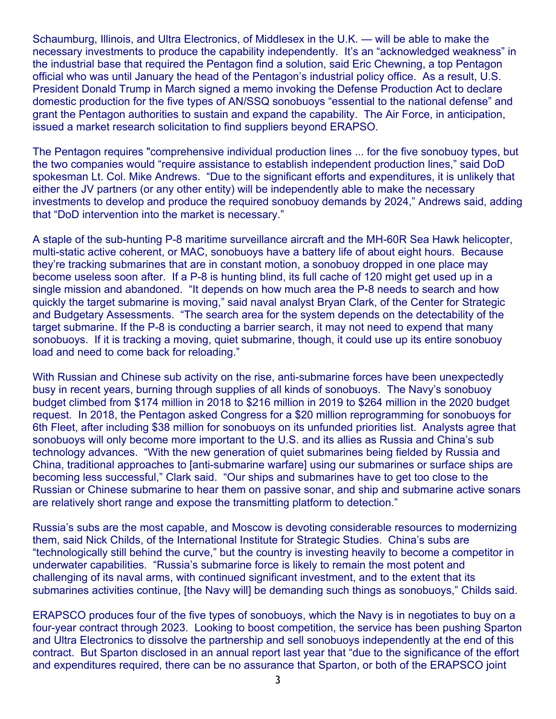Schaumburg, Illinois, and Ultra Electronics, of Middlesex in the U.K. — will be able to make the necessary investments to produce the capability independently. It's an "acknowledged weakness" in the industrial base that required the Pentagon find a solution, said Eric Chewning, a top Pentagon official who was until January the head of the Pentagon's industrial policy office. As a result, U.S. President Donald Trump in March signed a memo invoking the Defense Production Act to declare domestic production for the five types of AN/SSQ sonobuoys "essential to the national defense" and grant the Pentagon authorities to sustain and expand the capability. The Air Force, in anticipation, issued a market research solicitation to find suppliers beyond ERAPSO.

The Pentagon requires "comprehensive individual production lines ... for the five sonobuoy types, but the two companies would "require assistance to establish independent production lines," said DoD spokesman Lt. Col. Mike Andrews. "Due to the significant efforts and expenditures, it is unlikely that either the JV partners (or any other entity) will be independently able to make the necessary investments to develop and produce the required sonobuoy demands by 2024," Andrews said, adding that "DoD intervention into the market is necessary."

A staple of the sub-hunting P-8 maritime surveillance aircraft and the MH-60R Sea Hawk helicopter, multi-static active coherent, or MAC, sonobuoys have a battery life of about eight hours. Because they're tracking submarines that are in constant motion, a sonobuoy dropped in one place may become useless soon after. If a P-8 is hunting blind, its full cache of 120 might get used up in a single mission and abandoned. "It depends on how much area the P-8 needs to search and how quickly the target submarine is moving," said naval analyst Bryan Clark, of the Center for Strategic and Budgetary Assessments. "The search area for the system depends on the detectability of the target submarine. If the P-8 is conducting a barrier search, it may not need to expend that many sonobuoys. If it is tracking a moving, quiet submarine, though, it could use up its entire sonobuoy load and need to come back for reloading."

With Russian and Chinese sub activity on the rise, anti-submarine forces have been unexpectedly busy in recent years, burning through supplies of all kinds of sonobuoys. The Navy's sonobuoy budget climbed from \$174 million in 2018 to \$216 million in 2019 to \$264 million in the 2020 budget request. In 2018, the Pentagon asked Congress for a \$20 million reprogramming for sonobuoys for 6th Fleet, after including \$38 million for sonobuoys on its unfunded priorities list. Analysts agree that sonobuoys will only become more important to the U.S. and its allies as Russia and China's sub technology advances. "With the new generation of quiet submarines being fielded by Russia and China, traditional approaches to [anti-submarine warfare] using our submarines or surface ships are becoming less successful," Clark said. "Our ships and submarines have to get too close to the Russian or Chinese submarine to hear them on passive sonar, and ship and submarine active sonars are relatively short range and expose the transmitting platform to detection."

Russia's subs are the most capable, and Moscow is devoting considerable resources to modernizing them, said Nick Childs, of the International Institute for Strategic Studies. China's subs are "technologically still behind the curve," but the country is investing heavily to become a competitor in underwater capabilities. "Russia's submarine force is likely to remain the most potent and challenging of its naval arms, with continued significant investment, and to the extent that its submarines activities continue, [the Navy will] be demanding such things as sonobuoys," Childs said.

ERAPSCO produces four of the five types of sonobuoys, which the Navy is in negotiates to buy on a four-year contract through 2023. Looking to boost competition, the service has been pushing Sparton and Ultra Electronics to dissolve the partnership and sell sonobuoys independently at the end of this contract. But Sparton disclosed in an annual report last year that "due to the significance of the effort and expenditures required, there can be no assurance that Sparton, or both of the ERAPSCO joint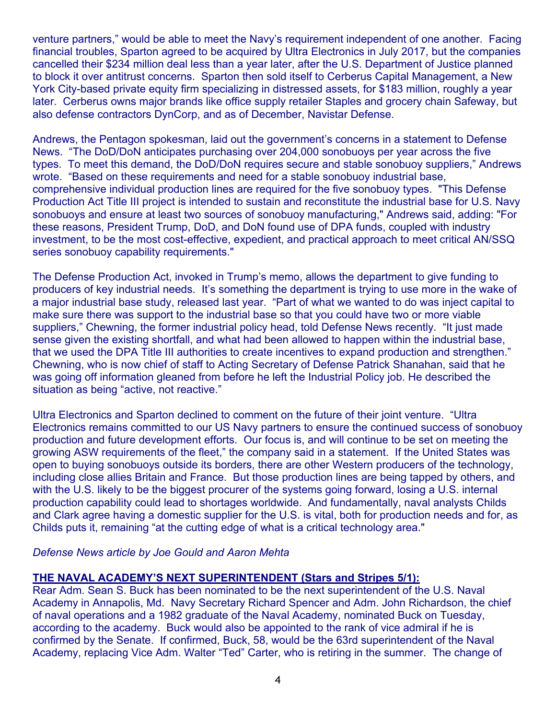venture partners," would be able to meet the Navy's requirement independent of one another. Facing financial troubles, Sparton agreed to be acquired by Ultra Electronics in July 2017, but the companies cancelled their \$234 million deal less than a year later, after the U.S. Department of Justice planned to block it over antitrust concerns. Sparton then sold itself to Cerberus Capital Management, a New York City-based private equity firm specializing in distressed assets, for \$183 million, roughly a year later. Cerberus owns major brands like office supply retailer Staples and grocery chain Safeway, but also defense contractors DynCorp, and as of December, Navistar Defense.

Andrews, the Pentagon spokesman, laid out the government's concerns in a statement to Defense News. "The DoD/DoN anticipates purchasing over 204,000 sonobuoys per year across the five types. To meet this demand, the DoD/DoN requires secure and stable sonobuoy suppliers," Andrews wrote. "Based on these requirements and need for a stable sonobuoy industrial base, comprehensive individual production lines are required for the five sonobuoy types. "This Defense Production Act Title III project is intended to sustain and reconstitute the industrial base for U.S. Navy sonobuoys and ensure at least two sources of sonobuoy manufacturing," Andrews said, adding: "For these reasons, President Trump, DoD, and DoN found use of DPA funds, coupled with industry investment, to be the most cost-effective, expedient, and practical approach to meet critical AN/SSQ series sonobuoy capability requirements."

The Defense Production Act, invoked in Trump's memo, allows the department to give funding to producers of key industrial needs. It's something the department is trying to use more in the wake of a major industrial base study, released last year. "Part of what we wanted to do was inject capital to make sure there was support to the industrial base so that you could have two or more viable suppliers," Chewning, the former industrial policy head, told Defense News recently. "It just made sense given the existing shortfall, and what had been allowed to happen within the industrial base, that we used the DPA Title III authorities to create incentives to expand production and strengthen." Chewning, who is now chief of staff to Acting Secretary of Defense Patrick Shanahan, said that he was going off information gleaned from before he left the Industrial Policy job. He described the situation as being "active, not reactive."

Ultra Electronics and Sparton declined to comment on the future of their joint venture. "Ultra Electronics remains committed to our US Navy partners to ensure the continued success of sonobuoy production and future development efforts. Our focus is, and will continue to be set on meeting the growing ASW requirements of the fleet," the company said in a statement. If the United States was open to buying sonobuoys outside its borders, there are other Western producers of the technology, including close allies Britain and France. But those production lines are being tapped by others, and with the U.S. likely to be the biggest procurer of the systems going forward, losing a U.S. internal production capability could lead to shortages worldwide. And fundamentally, naval analysts Childs and Clark agree having a domestic supplier for the U.S. is vital, both for production needs and for, as Childs puts it, remaining "at the cutting edge of what is a critical technology area."

#### *Defense News article by Joe Gould and Aaron Mehta*

#### **THE NAVAL ACADEMY'S NEXT SUPERINTENDENT (Stars and Stripes 5/1):**

Rear Adm. Sean S. Buck has been nominated to be the next superintendent of the U.S. Naval Academy in Annapolis, Md. Navy Secretary Richard Spencer and Adm. John Richardson, the chief of naval operations and a 1982 graduate of the Naval Academy, nominated Buck on Tuesday, according to the academy. Buck would also be appointed to the rank of vice admiral if he is confirmed by the Senate. If confirmed, Buck, 58, would be the 63rd superintendent of the Naval Academy, replacing Vice Adm. Walter "Ted" Carter, who is retiring in the summer. The change of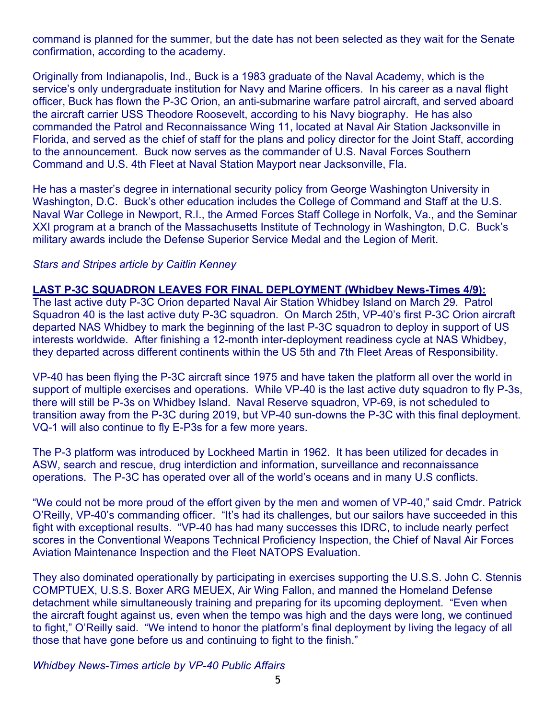command is planned for the summer, but the date has not been selected as they wait for the Senate confirmation, according to the academy.

Originally from Indianapolis, Ind., Buck is a 1983 graduate of the Naval Academy, which is the service's only undergraduate institution for Navy and Marine officers. In his career as a naval flight officer, Buck has flown the P-3C Orion, an anti-submarine warfare patrol aircraft, and served aboard the aircraft carrier USS Theodore Roosevelt, according to his Navy biography. He has also commanded the Patrol and Reconnaissance Wing 11, located at Naval Air Station Jacksonville in Florida, and served as the chief of staff for the plans and policy director for the Joint Staff, according to the announcement. Buck now serves as the commander of U.S. Naval Forces Southern Command and U.S. 4th Fleet at Naval Station Mayport near Jacksonville, Fla.

He has a master's degree in international security policy from George Washington University in Washington, D.C. Buck's other education includes the College of Command and Staff at the U.S. Naval War College in Newport, R.I., the Armed Forces Staff College in Norfolk, Va., and the Seminar XXI program at a branch of the Massachusetts Institute of Technology in Washington, D.C. Buck's military awards include the Defense Superior Service Medal and the Legion of Merit.

#### *Stars and Stripes article by Caitlin Kenney*

#### **LAST P-3C SQUADRON LEAVES FOR FINAL DEPLOYMENT (Whidbey News-Times 4/9):**

The last active duty P-3C Orion departed Naval Air Station Whidbey Island on March 29. Patrol Squadron 40 is the last active duty P-3C squadron. On March 25th, VP-40's first P-3C Orion aircraft departed NAS Whidbey to mark the beginning of the last P-3C squadron to deploy in support of US interests worldwide. After finishing a 12-month inter-deployment readiness cycle at NAS Whidbey, they departed across different continents within the US 5th and 7th Fleet Areas of Responsibility.

VP-40 has been flying the P-3C aircraft since 1975 and have taken the platform all over the world in support of multiple exercises and operations. While VP-40 is the last active duty squadron to fly P-3s, there will still be P-3s on Whidbey Island. Naval Reserve squadron, VP-69, is not scheduled to transition away from the P-3C during 2019, but VP-40 sun-downs the P-3C with this final deployment. VQ-1 will also continue to fly E-P3s for a few more years.

The P-3 platform was introduced by Lockheed Martin in 1962. It has been utilized for decades in ASW, search and rescue, drug interdiction and information, surveillance and reconnaissance operations. The P-3C has operated over all of the world's oceans and in many U.S conflicts.

"We could not be more proud of the effort given by the men and women of VP-40," said Cmdr. Patrick O'Reilly, VP-40's commanding officer. "It's had its challenges, but our sailors have succeeded in this fight with exceptional results. "VP-40 has had many successes this IDRC, to include nearly perfect scores in the Conventional Weapons Technical Proficiency Inspection, the Chief of Naval Air Forces Aviation Maintenance Inspection and the Fleet NATOPS Evaluation.

They also dominated operationally by participating in exercises supporting the U.S.S. John C. Stennis COMPTUEX, U.S.S. Boxer ARG MEUEX, Air Wing Fallon, and manned the Homeland Defense detachment while simultaneously training and preparing for its upcoming deployment. "Even when the aircraft fought against us, even when the tempo was high and the days were long, we continued to fight," O'Reilly said. "We intend to honor the platform's final deployment by living the legacy of all those that have gone before us and continuing to fight to the finish."

*Whidbey News-Times article by VP-40 Public Affairs*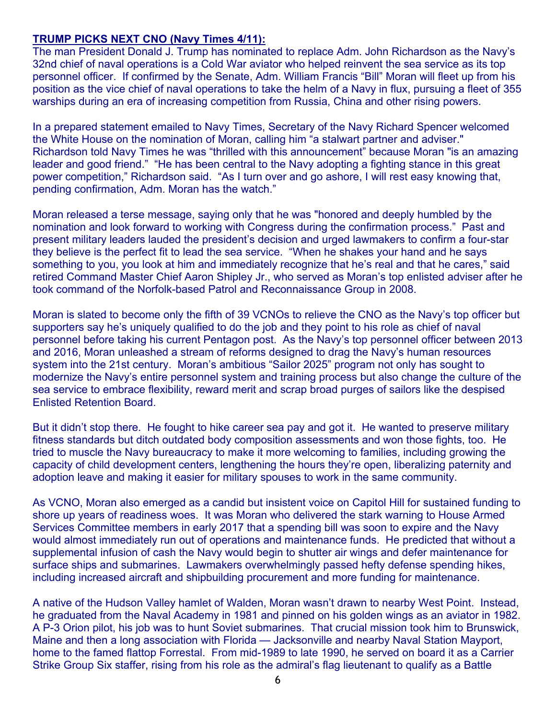#### **TRUMP PICKS NEXT CNO (Navy Times 4/11):**

The man President Donald J. Trump has nominated to replace Adm. John Richardson as the Navy's 32nd chief of naval operations is a Cold War aviator who helped reinvent the sea service as its top personnel officer. If confirmed by the Senate, Adm. William Francis "Bill" Moran will fleet up from his position as the vice chief of naval operations to take the helm of a Navy in flux, pursuing a fleet of 355 warships during an era of increasing competition from Russia, China and other rising powers.

In a prepared statement emailed to Navy Times, Secretary of the Navy Richard Spencer welcomed the White House on the nomination of Moran, calling him "a stalwart partner and adviser." Richardson told Navy Times he was "thrilled with this announcement" because Moran "is an amazing leader and good friend." "He has been central to the Navy adopting a fighting stance in this great power competition," Richardson said. "As I turn over and go ashore, I will rest easy knowing that, pending confirmation, Adm. Moran has the watch."

Moran released a terse message, saying only that he was "honored and deeply humbled by the nomination and look forward to working with Congress during the confirmation process." Past and present military leaders lauded the president's decision and urged lawmakers to confirm a four-star they believe is the perfect fit to lead the sea service. "When he shakes your hand and he says something to you, you look at him and immediately recognize that he's real and that he cares," said retired Command Master Chief Aaron Shipley Jr., who served as Moran's top enlisted adviser after he took command of the Norfolk-based Patrol and Reconnaissance Group in 2008.

Moran is slated to become only the fifth of 39 VCNOs to relieve the CNO as the Navy's top officer but supporters say he's uniquely qualified to do the job and they point to his role as chief of naval personnel before taking his current Pentagon post. As the Navy's top personnel officer between 2013 and 2016, Moran unleashed a stream of reforms designed to drag the Navy's human resources system into the 21st century. Moran's ambitious "Sailor 2025" program not only has sought to modernize the Navy's entire personnel system and training process but also change the culture of the sea service to embrace flexibility, reward merit and scrap broad purges of sailors like the despised Enlisted Retention Board.

But it didn't stop there. He fought to hike career sea pay and got it. He wanted to preserve military fitness standards but ditch outdated body composition assessments and won those fights, too. He tried to muscle the Navy bureaucracy to make it more welcoming to families, including growing the capacity of child development centers, lengthening the hours they're open, liberalizing paternity and adoption leave and making it easier for military spouses to work in the same community.

As VCNO, Moran also emerged as a candid but insistent voice on Capitol Hill for sustained funding to shore up years of readiness woes. It was Moran who delivered the stark warning to House Armed Services Committee members in early 2017 that a spending bill was soon to expire and the Navy would almost immediately run out of operations and maintenance funds. He predicted that without a supplemental infusion of cash the Navy would begin to shutter air wings and defer maintenance for surface ships and submarines. Lawmakers overwhelmingly passed hefty defense spending hikes, including increased aircraft and shipbuilding procurement and more funding for maintenance.

A native of the Hudson Valley hamlet of Walden, Moran wasn't drawn to nearby West Point. Instead, he graduated from the Naval Academy in 1981 and pinned on his golden wings as an aviator in 1982. A P-3 Orion pilot, his job was to hunt Soviet submarines. That crucial mission took him to Brunswick, Maine and then a long association with Florida — Jacksonville and nearby Naval Station Mayport, home to the famed flattop Forrestal. From mid-1989 to late 1990, he served on board it as a Carrier Strike Group Six staffer, rising from his role as the admiral's flag lieutenant to qualify as a Battle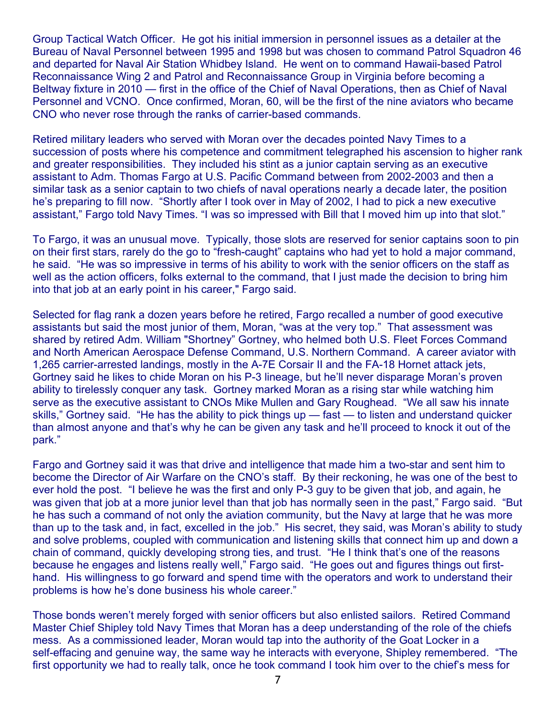Group Tactical Watch Officer. He got his initial immersion in personnel issues as a detailer at the Bureau of Naval Personnel between 1995 and 1998 but was chosen to command Patrol Squadron 46 and departed for Naval Air Station Whidbey Island. He went on to command Hawaii-based Patrol Reconnaissance Wing 2 and Patrol and Reconnaissance Group in Virginia before becoming a Beltway fixture in 2010 — first in the office of the Chief of Naval Operations, then as Chief of Naval Personnel and VCNO. Once confirmed, Moran, 60, will be the first of the nine aviators who became CNO who never rose through the ranks of carrier-based commands.

Retired military leaders who served with Moran over the decades pointed Navy Times to a succession of posts where his competence and commitment telegraphed his ascension to higher rank and greater responsibilities. They included his stint as a junior captain serving as an executive assistant to Adm. Thomas Fargo at U.S. Pacific Command between from 2002-2003 and then a similar task as a senior captain to two chiefs of naval operations nearly a decade later, the position he's preparing to fill now. "Shortly after I took over in May of 2002, I had to pick a new executive assistant," Fargo told Navy Times. "I was so impressed with Bill that I moved him up into that slot."

To Fargo, it was an unusual move. Typically, those slots are reserved for senior captains soon to pin on their first stars, rarely do the go to "fresh-caught" captains who had yet to hold a major command, he said. "He was so impressive in terms of his ability to work with the senior officers on the staff as well as the action officers, folks external to the command, that I just made the decision to bring him into that job at an early point in his career," Fargo said.

Selected for flag rank a dozen years before he retired, Fargo recalled a number of good executive assistants but said the most junior of them, Moran, "was at the very top." That assessment was shared by retired Adm. William "Shortney" Gortney, who helmed both U.S. Fleet Forces Command and North American Aerospace Defense Command, U.S. Northern Command. A career aviator with 1,265 carrier-arrested landings, mostly in the A-7E Corsair II and the FA-18 Hornet attack jets, Gortney said he likes to chide Moran on his P-3 lineage, but he'll never disparage Moran's proven ability to tirelessly conquer any task. Gortney marked Moran as a rising star while watching him serve as the executive assistant to CNOs Mike Mullen and Gary Roughead. "We all saw his innate skills," Gortney said. "He has the ability to pick things up — fast — to listen and understand quicker than almost anyone and that's why he can be given any task and he'll proceed to knock it out of the park."

Fargo and Gortney said it was that drive and intelligence that made him a two-star and sent him to become the Director of Air Warfare on the CNO's staff. By their reckoning, he was one of the best to ever hold the post. "I believe he was the first and only P-3 guy to be given that job, and again, he was given that job at a more junior level than that job has normally seen in the past," Fargo said. "But he has such a command of not only the aviation community, but the Navy at large that he was more than up to the task and, in fact, excelled in the job." His secret, they said, was Moran's ability to study and solve problems, coupled with communication and listening skills that connect him up and down a chain of command, quickly developing strong ties, and trust. "He I think that's one of the reasons because he engages and listens really well," Fargo said. "He goes out and figures things out firsthand. His willingness to go forward and spend time with the operators and work to understand their problems is how he's done business his whole career."

Those bonds weren't merely forged with senior officers but also enlisted sailors. Retired Command Master Chief Shipley told Navy Times that Moran has a deep understanding of the role of the chiefs mess. As a commissioned leader, Moran would tap into the authority of the Goat Locker in a self-effacing and genuine way, the same way he interacts with everyone, Shipley remembered. "The first opportunity we had to really talk, once he took command I took him over to the chief's mess for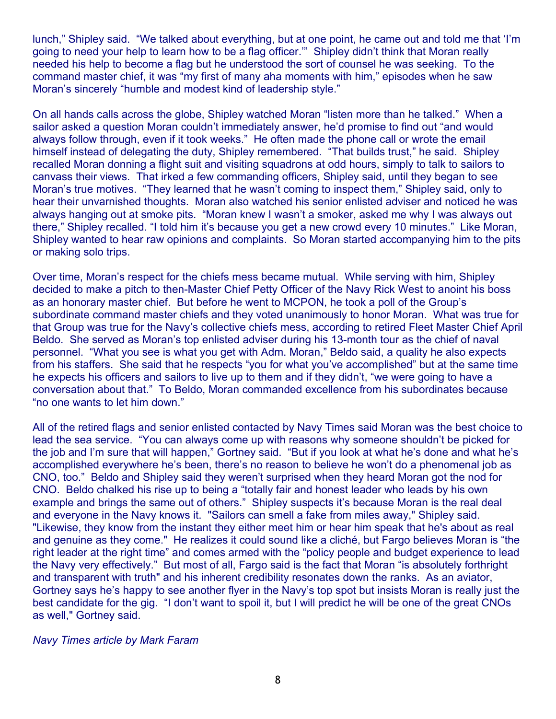lunch," Shipley said. "We talked about everything, but at one point, he came out and told me that 'I'm going to need your help to learn how to be a flag officer.'" Shipley didn't think that Moran really needed his help to become a flag but he understood the sort of counsel he was seeking. To the command master chief, it was "my first of many aha moments with him," episodes when he saw Moran's sincerely "humble and modest kind of leadership style."

On all hands calls across the globe, Shipley watched Moran "listen more than he talked." When a sailor asked a question Moran couldn't immediately answer, he'd promise to find out "and would always follow through, even if it took weeks." He often made the phone call or wrote the email himself instead of delegating the duty, Shipley remembered. "That builds trust," he said. Shipley recalled Moran donning a flight suit and visiting squadrons at odd hours, simply to talk to sailors to canvass their views. That irked a few commanding officers, Shipley said, until they began to see Moran's true motives. "They learned that he wasn't coming to inspect them," Shipley said, only to hear their unvarnished thoughts. Moran also watched his senior enlisted adviser and noticed he was always hanging out at smoke pits. "Moran knew I wasn't a smoker, asked me why I was always out there," Shipley recalled. "I told him it's because you get a new crowd every 10 minutes." Like Moran, Shipley wanted to hear raw opinions and complaints. So Moran started accompanying him to the pits or making solo trips.

Over time, Moran's respect for the chiefs mess became mutual. While serving with him, Shipley decided to make a pitch to then-Master Chief Petty Officer of the Navy Rick West to anoint his boss as an honorary master chief. But before he went to MCPON, he took a poll of the Group's subordinate command master chiefs and they voted unanimously to honor Moran. What was true for that Group was true for the Navy's collective chiefs mess, according to retired Fleet Master Chief April Beldo. She served as Moran's top enlisted adviser during his 13-month tour as the chief of naval personnel. "What you see is what you get with Adm. Moran," Beldo said, a quality he also expects from his staffers. She said that he respects "you for what you've accomplished" but at the same time he expects his officers and sailors to live up to them and if they didn't, "we were going to have a conversation about that." To Beldo, Moran commanded excellence from his subordinates because "no one wants to let him down."

All of the retired flags and senior enlisted contacted by Navy Times said Moran was the best choice to lead the sea service. "You can always come up with reasons why someone shouldn't be picked for the job and I'm sure that will happen," Gortney said. "But if you look at what he's done and what he's accomplished everywhere he's been, there's no reason to believe he won't do a phenomenal job as CNO, too." Beldo and Shipley said they weren't surprised when they heard Moran got the nod for CNO. Beldo chalked his rise up to being a "totally fair and honest leader who leads by his own example and brings the same out of others." Shipley suspects it's because Moran is the real deal and everyone in the Navy knows it. "Sailors can smell a fake from miles away," Shipley said. "Likewise, they know from the instant they either meet him or hear him speak that he's about as real and genuine as they come." He realizes it could sound like a cliché, but Fargo believes Moran is "the right leader at the right time" and comes armed with the "policy people and budget experience to lead the Navy very effectively." But most of all, Fargo said is the fact that Moran "is absolutely forthright and transparent with truth" and his inherent credibility resonates down the ranks. As an aviator, Gortney says he's happy to see another flyer in the Navy's top spot but insists Moran is really just the best candidate for the gig. "I don't want to spoil it, but I will predict he will be one of the great CNOs as well," Gortney said.

*Navy Times article by Mark Faram*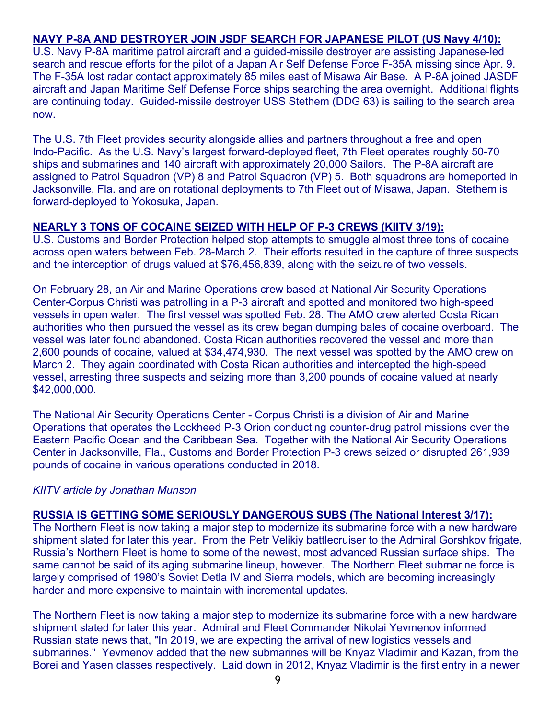#### **NAVY P-8A AND DESTROYER JOIN JSDF SEARCH FOR JAPANESE PILOT (US Navy 4/10):**

U.S. Navy P-8A maritime patrol aircraft and a guided-missile destroyer are assisting Japanese-led search and rescue efforts for the pilot of a Japan Air Self Defense Force F-35A missing since Apr. 9. The F-35A lost radar contact approximately 85 miles east of Misawa Air Base. A P-8A joined JASDF aircraft and Japan Maritime Self Defense Force ships searching the area overnight. Additional flights are continuing today. Guided-missile destroyer USS Stethem (DDG 63) is sailing to the search area now.

The U.S. 7th Fleet provides security alongside allies and partners throughout a free and open Indo-Pacific. As the U.S. Navy's largest forward-deployed fleet, 7th Fleet operates roughly 50-70 ships and submarines and 140 aircraft with approximately 20,000 Sailors. The P-8A aircraft are assigned to Patrol Squadron (VP) 8 and Patrol Squadron (VP) 5. Both squadrons are homeported in Jacksonville, Fla. and are on rotational deployments to 7th Fleet out of Misawa, Japan. Stethem is forward-deployed to Yokosuka, Japan.

#### **NEARLY 3 TONS OF COCAINE SEIZED WITH HELP OF P-3 CREWS (KIITV 3/19):**

U.S. Customs and Border Protection helped stop attempts to smuggle almost three tons of cocaine across open waters between Feb. 28-March 2. Their efforts resulted in the capture of three suspects and the interception of drugs valued at \$76,456,839, along with the seizure of two vessels.

On February 28, an Air and Marine Operations crew based at National Air Security Operations Center-Corpus Christi was patrolling in a P-3 aircraft and spotted and monitored two high-speed vessels in open water. The first vessel was spotted Feb. 28. The AMO crew alerted Costa Rican authorities who then pursued the vessel as its crew began dumping bales of cocaine overboard. The vessel was later found abandoned. Costa Rican authorities recovered the vessel and more than 2,600 pounds of cocaine, valued at \$34,474,930. The next vessel was spotted by the AMO crew on March 2. They again coordinated with Costa Rican authorities and intercepted the high-speed vessel, arresting three suspects and seizing more than 3,200 pounds of cocaine valued at nearly \$42,000,000.

The National Air Security Operations Center - Corpus Christi is a division of Air and Marine Operations that operates the Lockheed P-3 Orion conducting counter-drug patrol missions over the Eastern Pacific Ocean and the Caribbean Sea. Together with the National Air Security Operations Center in Jacksonville, Fla., Customs and Border Protection P-3 crews seized or disrupted 261,939 pounds of cocaine in various operations conducted in 2018.

#### *KIITV article by Jonathan Munson*

#### **RUSSIA IS GETTING SOME SERIOUSLY DANGEROUS SUBS (The National Interest 3/17):**

The Northern Fleet is now taking a major step to modernize its submarine force with a new hardware shipment slated for later this year. From the Petr Velikiy battlecruiser to the Admiral Gorshkov frigate, Russia's Northern Fleet is home to some of the newest, most advanced Russian surface ships. The same cannot be said of its aging submarine lineup, however. The Northern Fleet submarine force is largely comprised of 1980's Soviet Detla IV and Sierra models, which are becoming increasingly harder and more expensive to maintain with incremental updates.

The Northern Fleet is now taking a major step to modernize its submarine force with a new hardware shipment slated for later this year. Admiral and Fleet Commander Nikolai Yevmenov informed Russian state news that, "In 2019, we are expecting the arrival of new logistics vessels and submarines." Yevmenov added that the new submarines will be Knyaz Vladimir and Kazan, from the Borei and Yasen classes respectively. Laid down in 2012, Knyaz Vladimir is the first entry in a newer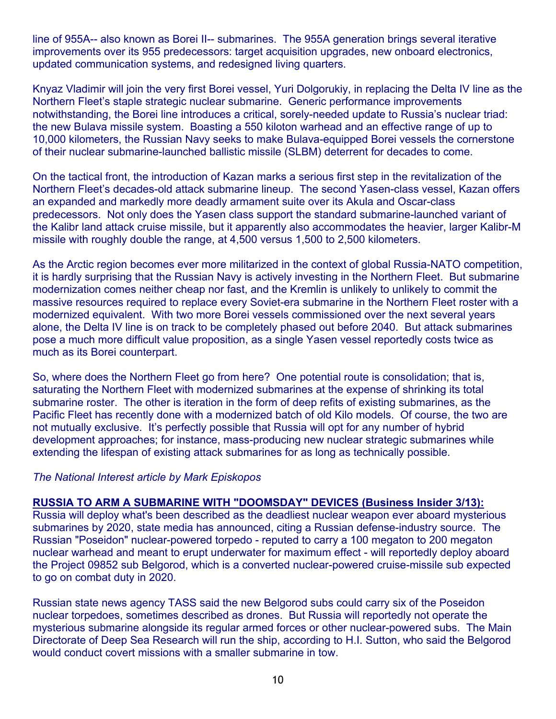line of 955A-- also known as Borei II-- submarines. The 955A generation brings several iterative improvements over its 955 predecessors: target acquisition upgrades, new onboard electronics, updated communication systems, and redesigned living quarters.

Knyaz Vladimir will join the very first Borei vessel, Yuri Dolgorukiy, in replacing the Delta IV line as the Northern Fleet's staple strategic nuclear submarine. Generic performance improvements notwithstanding, the Borei line introduces a critical, sorely-needed update to Russia's nuclear triad: the new Bulava missile system. Boasting a 550 kiloton warhead and an effective range of up to 10,000 kilometers, the Russian Navy seeks to make Bulava-equipped Borei vessels the cornerstone of their nuclear submarine-launched ballistic missile (SLBM) deterrent for decades to come.

On the tactical front, the introduction of Kazan marks a serious first step in the revitalization of the Northern Fleet's decades-old attack submarine lineup. The second Yasen-class vessel, Kazan offers an expanded and markedly more deadly armament suite over its Akula and Oscar-class predecessors. Not only does the Yasen class support the standard submarine-launched variant of the Kalibr land attack cruise missile, but it apparently also accommodates the heavier, larger Kalibr-M missile with roughly double the range, at 4,500 versus 1,500 to 2,500 kilometers.

As the Arctic region becomes ever more militarized in the context of global Russia-NATO competition, it is hardly surprising that the Russian Navy is actively investing in the Northern Fleet. But submarine modernization comes neither cheap nor fast, and the Kremlin is unlikely to unlikely to commit the massive resources required to replace every Soviet-era submarine in the Northern Fleet roster with a modernized equivalent. With two more Borei vessels commissioned over the next several years alone, the Delta IV line is on track to be completely phased out before 2040. But attack submarines pose a much more difficult value proposition, as a single Yasen vessel reportedly costs twice as much as its Borei counterpart.

So, where does the Northern Fleet go from here? One potential route is consolidation; that is, saturating the Northern Fleet with modernized submarines at the expense of shrinking its total submarine roster. The other is iteration in the form of deep refits of existing submarines, as the Pacific Fleet has recently done with a modernized batch of old Kilo models. Of course, the two are not mutually exclusive. It's perfectly possible that Russia will opt for any number of hybrid development approaches; for instance, mass-producing new nuclear strategic submarines while extending the lifespan of existing attack submarines for as long as technically possible.

#### *The National Interest article by Mark Episkopos*

#### **RUSSIA TO ARM A SUBMARINE WITH "DOOMSDAY" DEVICES (Business Insider 3/13):**

Russia will deploy what's been described as the deadliest nuclear weapon ever aboard mysterious submarines by 2020, state media has announced, citing a Russian defense-industry source. The Russian "Poseidon" nuclear-powered torpedo - reputed to carry a 100 megaton to 200 megaton nuclear warhead and meant to erupt underwater for maximum effect - will reportedly deploy aboard the Project 09852 sub Belgorod, which is a converted nuclear-powered cruise-missile sub expected to go on combat duty in 2020.

Russian state news agency TASS said the new Belgorod subs could carry six of the Poseidon nuclear torpedoes, sometimes described as drones. But Russia will reportedly not operate the mysterious submarine alongside its regular armed forces or other nuclear-powered subs. The Main Directorate of Deep Sea Research will run the ship, according to H.I. Sutton, who said the Belgorod would conduct covert missions with a smaller submarine in tow.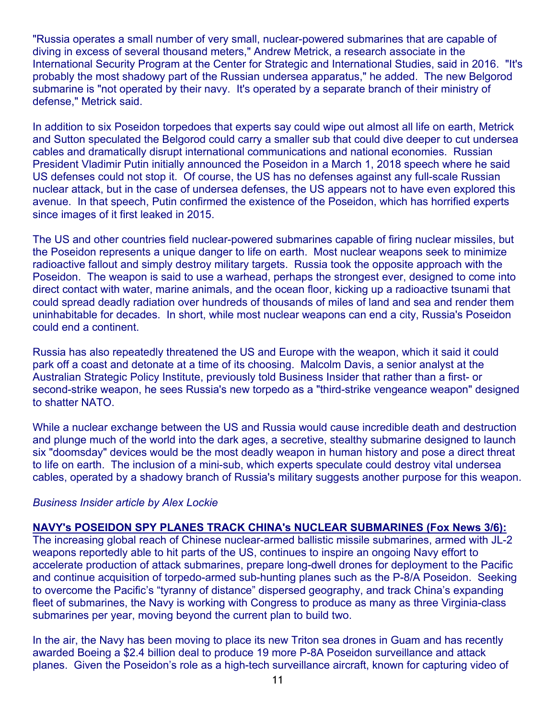"Russia operates a small number of very small, nuclear-powered submarines that are capable of diving in excess of several thousand meters," Andrew Metrick, a research associate in the International Security Program at the Center for Strategic and International Studies, said in 2016. "It's probably the most shadowy part of the Russian undersea apparatus," he added. The new Belgorod submarine is "not operated by their navy. It's operated by a separate branch of their ministry of defense," Metrick said.

In addition to six Poseidon torpedoes that experts say could wipe out almost all life on earth, Metrick and Sutton speculated the Belgorod could carry a smaller sub that could dive deeper to cut undersea cables and dramatically disrupt international communications and national economies. Russian President Vladimir Putin initially announced the Poseidon in a March 1, 2018 speech where he said US defenses could not stop it. Of course, the US has no defenses against any full-scale Russian nuclear attack, but in the case of undersea defenses, the US appears not to have even explored this avenue. In that speech, Putin confirmed the existence of the Poseidon, which has horrified experts since images of it first leaked in 2015.

The US and other countries field nuclear-powered submarines capable of firing nuclear missiles, but the Poseidon represents a unique danger to life on earth. Most nuclear weapons seek to minimize radioactive fallout and simply destroy military targets. Russia took the opposite approach with the Poseidon. The weapon is said to use a warhead, perhaps the strongest ever, designed to come into direct contact with water, marine animals, and the ocean floor, kicking up a radioactive tsunami that could spread deadly radiation over hundreds of thousands of miles of land and sea and render them uninhabitable for decades. In short, while most nuclear weapons can end a city, Russia's Poseidon could end a continent.

Russia has also repeatedly threatened the US and Europe with the weapon, which it said it could park off a coast and detonate at a time of its choosing. Malcolm Davis, a senior analyst at the Australian Strategic Policy Institute, previously told Business Insider that rather than a first- or second-strike weapon, he sees Russia's new torpedo as a "third-strike vengeance weapon" designed to shatter NATO.

While a nuclear exchange between the US and Russia would cause incredible death and destruction and plunge much of the world into the dark ages, a secretive, stealthy submarine designed to launch six "doomsday" devices would be the most deadly weapon in human history and pose a direct threat to life on earth. The inclusion of a mini-sub, which experts speculate could destroy vital undersea cables, operated by a shadowy branch of Russia's military suggests another purpose for this weapon.

#### *Business Insider article by Alex Lockie*

#### **NAVY's POSEIDON SPY PLANES TRACK CHINA's NUCLEAR SUBMARINES (Fox News 3/6):**

The increasing global reach of Chinese nuclear-armed ballistic missile submarines, armed with JL-2 weapons reportedly able to hit parts of the US, continues to inspire an ongoing Navy effort to accelerate production of attack submarines, prepare long-dwell drones for deployment to the Pacific and continue acquisition of torpedo-armed sub-hunting planes such as the P-8/A Poseidon. Seeking to overcome the Pacific's "tyranny of distance" dispersed geography, and track China's expanding fleet of submarines, the Navy is working with Congress to produce as many as three Virginia-class submarines per year, moving beyond the current plan to build two.

In the air, the Navy has been moving to place its new Triton sea drones in Guam and has recently awarded Boeing a \$2.4 billion deal to produce 19 more P-8A Poseidon surveillance and attack planes. Given the Poseidon's role as a high-tech surveillance aircraft, known for capturing video of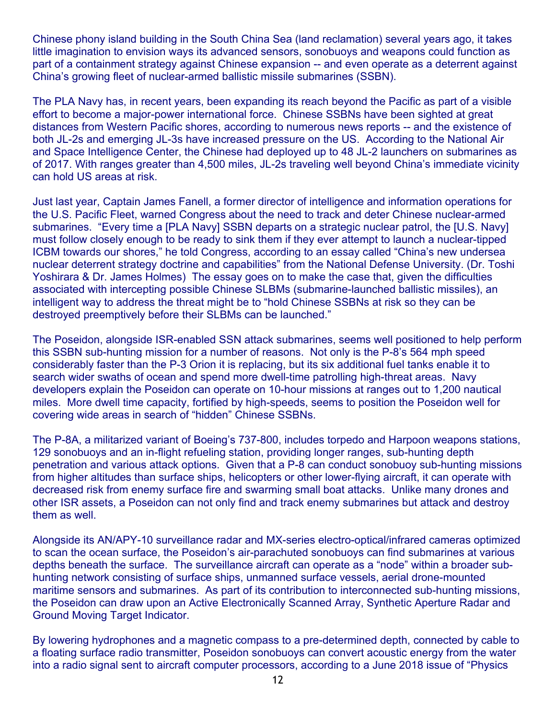Chinese phony island building in the South China Sea (land reclamation) several years ago, it takes little imagination to envision ways its advanced sensors, sonobuoys and weapons could function as part of a containment strategy against Chinese expansion -- and even operate as a deterrent against China's growing fleet of nuclear-armed ballistic missile submarines (SSBN).

The PLA Navy has, in recent years, been expanding its reach beyond the Pacific as part of a visible effort to become a major-power international force. Chinese SSBNs have been sighted at great distances from Western Pacific shores, according to numerous news reports -- and the existence of both JL-2s and emerging JL-3s have increased pressure on the US. According to the National Air and Space Intelligence Center, the Chinese had deployed up to 48 JL-2 launchers on submarines as of 2017. With ranges greater than 4,500 miles, JL-2s traveling well beyond China's immediate vicinity can hold US areas at risk.

Just last year, Captain James Fanell, a former director of intelligence and information operations for the U.S. Pacific Fleet, warned Congress about the need to track and deter Chinese nuclear-armed submarines. "Every time a [PLA Navy] SSBN departs on a strategic nuclear patrol, the [U.S. Navy] must follow closely enough to be ready to sink them if they ever attempt to launch a nuclear-tipped ICBM towards our shores," he told Congress, according to an essay called "China's new undersea nuclear deterrent strategy doctrine and capabilities" from the National Defense University. (Dr. Toshi Yoshirara & Dr. James Holmes) The essay goes on to make the case that, given the difficulties associated with intercepting possible Chinese SLBMs (submarine-launched ballistic missiles), an intelligent way to address the threat might be to "hold Chinese SSBNs at risk so they can be destroyed preemptively before their SLBMs can be launched."

The Poseidon, alongside ISR-enabled SSN attack submarines, seems well positioned to help perform this SSBN sub-hunting mission for a number of reasons. Not only is the P-8's 564 mph speed considerably faster than the P-3 Orion it is replacing, but its six additional fuel tanks enable it to search wider swaths of ocean and spend more dwell-time patrolling high-threat areas. Navy developers explain the Poseidon can operate on 10-hour missions at ranges out to 1,200 nautical miles. More dwell time capacity, fortified by high-speeds, seems to position the Poseidon well for covering wide areas in search of "hidden" Chinese SSBNs.

The P-8A, a militarized variant of Boeing's 737-800, includes torpedo and Harpoon weapons stations, 129 sonobuoys and an in-flight refueling station, providing longer ranges, sub-hunting depth penetration and various attack options. Given that a P-8 can conduct sonobuoy sub-hunting missions from higher altitudes than surface ships, helicopters or other lower-flying aircraft, it can operate with decreased risk from enemy surface fire and swarming small boat attacks. Unlike many drones and other ISR assets, a Poseidon can not only find and track enemy submarines but attack and destroy them as well.

Alongside its AN/APY-10 surveillance radar and MX-series electro-optical/infrared cameras optimized to scan the ocean surface, the Poseidon's air-parachuted sonobuoys can find submarines at various depths beneath the surface. The surveillance aircraft can operate as a "node" within a broader subhunting network consisting of surface ships, unmanned surface vessels, aerial drone-mounted maritime sensors and submarines. As part of its contribution to interconnected sub-hunting missions, the Poseidon can draw upon an Active Electronically Scanned Array, Synthetic Aperture Radar and Ground Moving Target Indicator.

By lowering hydrophones and a magnetic compass to a pre-determined depth, connected by cable to a floating surface radio transmitter, Poseidon sonobuoys can convert acoustic energy from the water into a radio signal sent to aircraft computer processors, according to a June 2018 issue of "Physics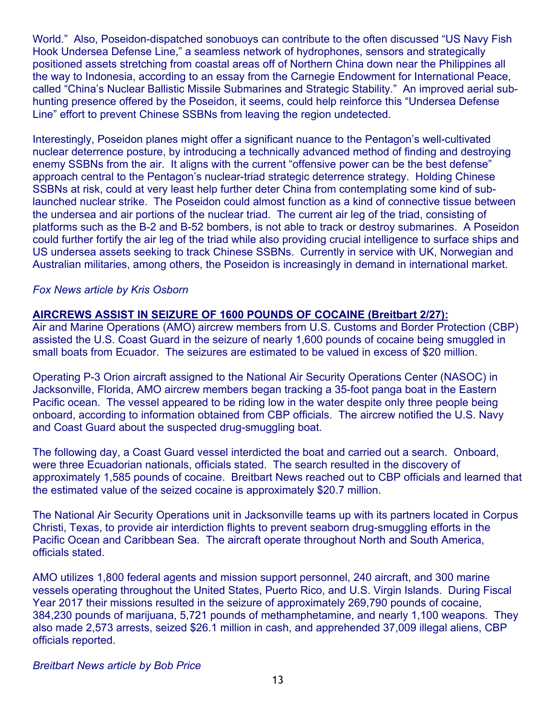World." Also, Poseidon-dispatched sonobuoys can contribute to the often discussed "US Navy Fish Hook Undersea Defense Line," a seamless network of hydrophones, sensors and strategically positioned assets stretching from coastal areas off of Northern China down near the Philippines all the way to Indonesia, according to an essay from the Carnegie Endowment for International Peace, called "China's Nuclear Ballistic Missile Submarines and Strategic Stability." An improved aerial subhunting presence offered by the Poseidon, it seems, could help reinforce this "Undersea Defense Line" effort to prevent Chinese SSBNs from leaving the region undetected.

Interestingly, Poseidon planes might offer a significant nuance to the Pentagon's well-cultivated nuclear deterrence posture, by introducing a technically advanced method of finding and destroying enemy SSBNs from the air. It aligns with the current "offensive power can be the best defense" approach central to the Pentagon's nuclear-triad strategic deterrence strategy. Holding Chinese SSBNs at risk, could at very least help further deter China from contemplating some kind of sublaunched nuclear strike. The Poseidon could almost function as a kind of connective tissue between the undersea and air portions of the nuclear triad. The current air leg of the triad, consisting of platforms such as the B-2 and B-52 bombers, is not able to track or destroy submarines. A Poseidon could further fortify the air leg of the triad while also providing crucial intelligence to surface ships and US undersea assets seeking to track Chinese SSBNs. Currently in service with UK, Norwegian and Australian militaries, among others, the Poseidon is increasingly in demand in international market.

#### *Fox News article by Kris Osborn*

#### **AIRCREWS ASSIST IN SEIZURE OF 1600 POUNDS OF COCAINE (Breitbart 2/27):**

Air and Marine Operations (AMO) aircrew members from U.S. Customs and Border Protection (CBP) assisted the U.S. Coast Guard in the seizure of nearly 1,600 pounds of cocaine being smuggled in small boats from Ecuador. The seizures are estimated to be valued in excess of \$20 million.

Operating P-3 Orion aircraft assigned to the National Air Security Operations Center (NASOC) in Jacksonville, Florida, AMO aircrew members began tracking a 35-foot panga boat in the Eastern Pacific ocean. The vessel appeared to be riding low in the water despite only three people being onboard, according to information obtained from CBP officials. The aircrew notified the U.S. Navy and Coast Guard about the suspected drug-smuggling boat.

The following day, a Coast Guard vessel interdicted the boat and carried out a search. Onboard, were three Ecuadorian nationals, officials stated. The search resulted in the discovery of approximately 1,585 pounds of cocaine. Breitbart News reached out to CBP officials and learned that the estimated value of the seized cocaine is approximately \$20.7 million.

The National Air Security Operations unit in Jacksonville teams up with its partners located in Corpus Christi, Texas, to provide air interdiction flights to prevent seaborn drug-smuggling efforts in the Pacific Ocean and Caribbean Sea. The aircraft operate throughout North and South America, officials stated.

AMO utilizes 1,800 federal agents and mission support personnel, 240 aircraft, and 300 marine vessels operating throughout the United States, Puerto Rico, and U.S. Virgin Islands. During Fiscal Year 2017 their missions resulted in the seizure of approximately 269,790 pounds of cocaine, 384,230 pounds of marijuana, 5,721 pounds of methamphetamine, and nearly 1,100 weapons. They also made 2,573 arrests, seized \$26.1 million in cash, and apprehended 37,009 illegal aliens, CBP officials reported.

*Breitbart News article by Bob Price*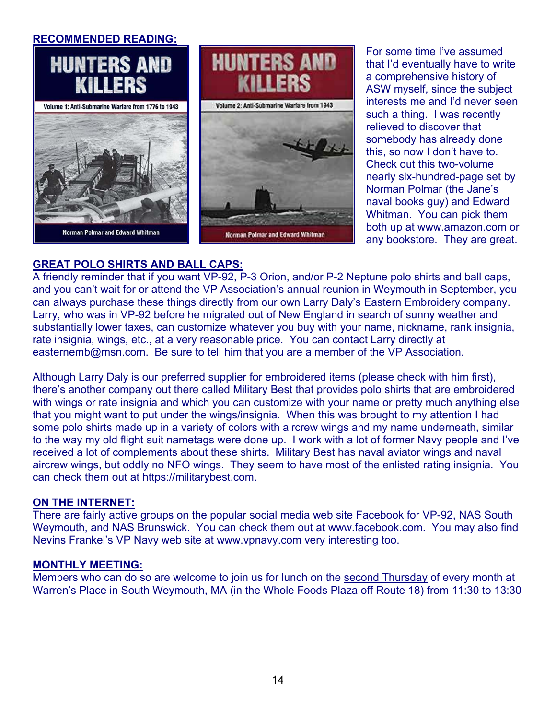#### **RECOMMENDED READING:**



For some time I've assumed that I'd eventually have to write a comprehensive history of ASW myself, since the subject interests me and I'd never seen such a thing. I was recently relieved to discover that somebody has already done this, so now I don't have to. Check out this two-volume nearly six-hundred-page set by Norman Polmar (the Jane's naval books guy) and Edward Whitman. You can pick them both up at www.amazon.com or any bookstore. They are great.

#### **GREAT POLO SHIRTS AND BALL CAPS:**

A friendly reminder that if you want VP-92, P-3 Orion, and/or P-2 Neptune polo shirts and ball caps, and you can't wait for or attend the VP Association's annual reunion in Weymouth in September, you can always purchase these things directly from our own Larry Daly's Eastern Embroidery company. Larry, who was in VP-92 before he migrated out of New England in search of sunny weather and substantially lower taxes, can customize whatever you buy with your name, nickname, rank insignia, rate insignia, wings, etc., at a very reasonable price. You can contact Larry directly at easternemb@msn.com. Be sure to tell him that you are a member of the VP Association.

Although Larry Daly is our preferred supplier for embroidered items (please check with him first), there's another company out there called Military Best that provides polo shirts that are embroidered with wings or rate insignia and which you can customize with your name or pretty much anything else that you might want to put under the wings/insignia. When this was brought to my attention I had some polo shirts made up in a variety of colors with aircrew wings and my name underneath, similar to the way my old flight suit nametags were done up. I work with a lot of former Navy people and I've received a lot of complements about these shirts. Military Best has naval aviator wings and naval aircrew wings, but oddly no NFO wings. They seem to have most of the enlisted rating insignia. You can check them out at https://militarybest.com.

#### **ON THE INTERNET:**

There are fairly active groups on the popular social media web site Facebook for VP-92, NAS South Weymouth, and NAS Brunswick. You can check them out at www.facebook.com. You may also find Nevins Frankel's VP Navy web site at www.vpnavy.com very interesting too.

#### **MONTHLY MEETING:**

Members who can do so are welcome to join us for lunch on the second Thursday of every month at Warren's Place in South Weymouth, MA (in the Whole Foods Plaza off Route 18) from 11:30 to 13:30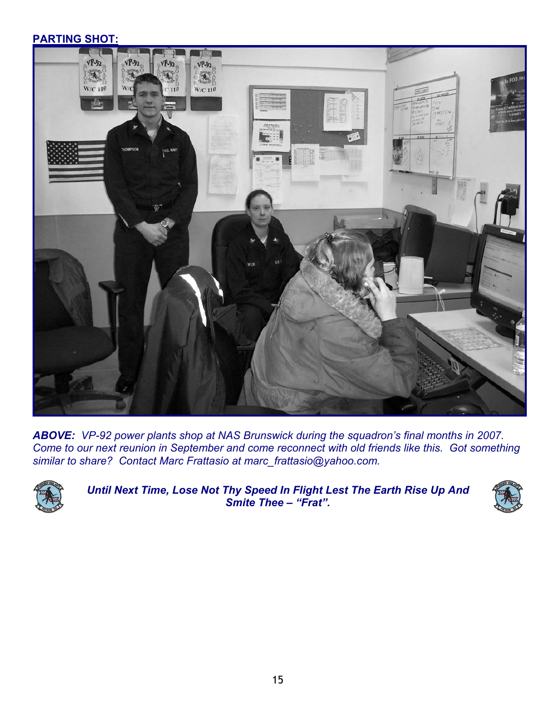### **PARTING SHOT:**



*ABOVE: VP-92 power plants shop at NAS Brunswick during the squadron's final months in 2007. Come to our next reunion in September and come reconnect with old friends like this. Got something similar to share? Contact Marc Frattasio at marc\_frattasio@yahoo.com.* 



*Until Next Time, Lose Not Thy Speed In Flight Lest The Earth Rise Up And Smite Thee – "Frat".*